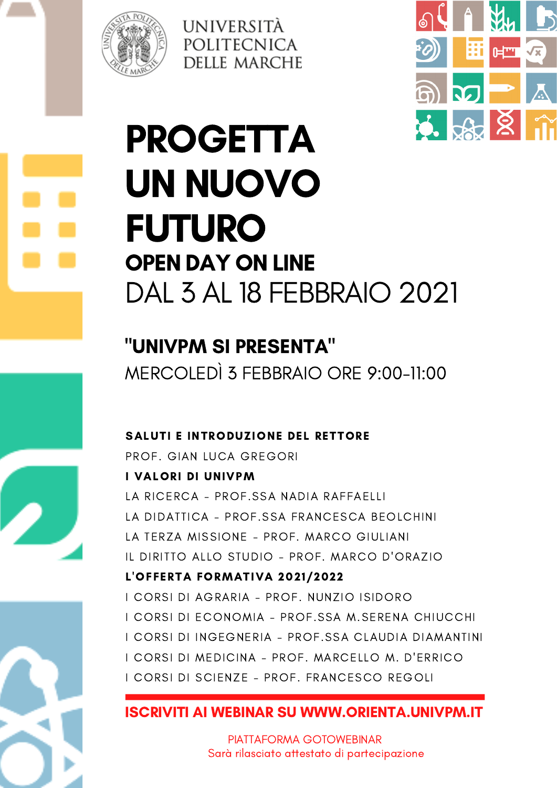



# PROGETTA UN NUOVO FUTURO OPEN DAY ON LINE DAL 3 AL 18 FEBBRAIO 2021

UNIVERSITÀ

POLITECNICA

**DELLE MARCHE** 

"UNIVPM SI PRESENTA" MERCOLEDÌ 3 FEBBRAIO ORE 9:00-11:00

#### SALUTI E INTRODUZIONE DEL RETTORE

PROF. GIAN LUCA GREGORI I VALORI DI UNIVPM LA RICERCA - PROF. SSA NADIA RAFFAELLI LA DIDATTICA - PROF.SSA FRANCESCA BEOLCHINI LA TERZA MISSIONE - PROF. MARCO GIULIANI IL DIRITTO ALLO STUDIO - PROF. MARCO D'ORAZIO L'OFFERTA FORMATIVA 2021/2022 I CORSI DI AGRARIA - PROF. NUNZIO ISIDORO I CORSI DI ECONOMIA - PROF.SSA M.SERENA CHIUCCHI I CORSI DI INGEGNERIA - PROF.SSA CLAUDIA DIAMANTINI I CORSI DI MEDICINA - PROF. MARCELLO M. D'ERRICO I CORSI DI SCIENZE - PROF. FRANCESCO REGOLI

#### ISCRIVITI AI WEBINAR SU WWW.ORIENTA.UNIVPM.IT

PIATTAFORMA GOTOWEBINAR Sarà rilasciato attestato di partecipazione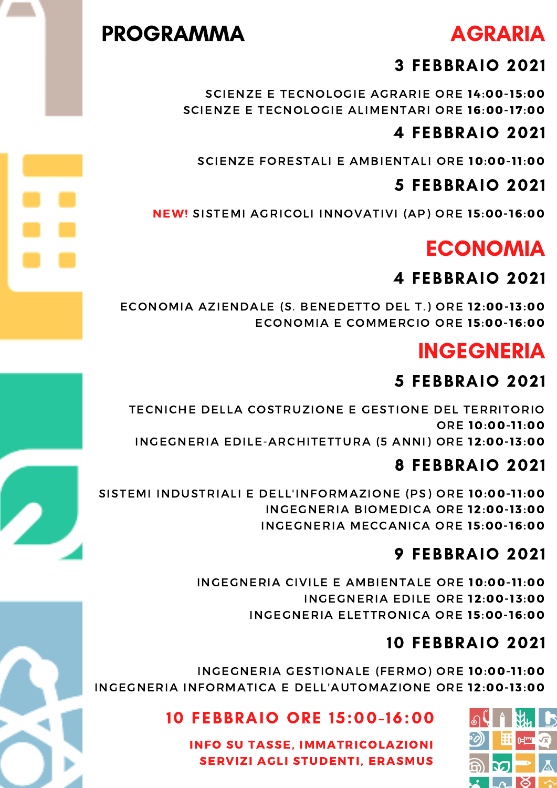### PROGRAMMA

# AGRARIA

#### 3 FEBBRAIO 2021

SCIENZE E TECNOLOGIE AGRARIE ORE 14:00-15:00 SCIENZE E TECNOLOGIE ALIMENTARI ORE 16:00-17:00

### 4 FEBBRAIO 2021

SCIENZE FORESTALI E AMBIENTALI ORE 10:00-11:00

#### 5 FEBBRAIO 2021

NEW! SISTEMI AGRICOLI INNOVATIVI (AP) ORE 15:00-16:00

# ECONOMIA

#### 4 FEBBRAIO 2021

ECONOMIA AZIENDALE (S. BENEDETTO DEL T.) ORE 12:00-13:00 ECONOMIA E COMMERCIO ORE 15:00-16:00

## INGEGNERIA

### 5 FEBBRAIO 2021

TECNICHE DELLA COSTRUZIONE E GESTIONE DEL TERRITORIO ORE 10:00-11:00 INGEGNERIA EDILE-ARCHITETTURA (5 ANNI) ORE 12:00-13:00

#### 1:00 PM 8 FEBBRAIO 2021

INGEGNERIA BIOMEDICA ORE 12:00-13:00 INGEGNERIA MECCANICA ORE 15:00-16:00 SISTEMI INDUSTRIALI E DELL'INFORMAZIONE (PS) ORE 10:00-11:00

#### 9 FEBBRAIO 2021

3:00 PM INGEGNERIA ELETTRONICA ORE 15:00- 16:00 INGEGNERIA CIVILE E AMBIENTALE ORE 10:00-11:00 INGEGNERIA EDILE ORE 12:00-13:00

#### BLOGGION CONTROLLATION AND PHOTO DEMONSTRATION 10 FEBBRAIO 2021

INGEGNERIA GESTIONALE (FERMO) ORE **10:00-11:00**<br>FORMATION E RELLIAUTOMAZIONE ORE **12.00.17.00** INGEGNERIA INFORMATICA E DELL'AUTOMAZIONE ORE 12:00-13:00

10 FEBBRAIO ORE 15:00-16:00

INFO SU TASSE, IMMATRICOLAZIONI SERVIZI AGLI STUDENTI, ERASMUS